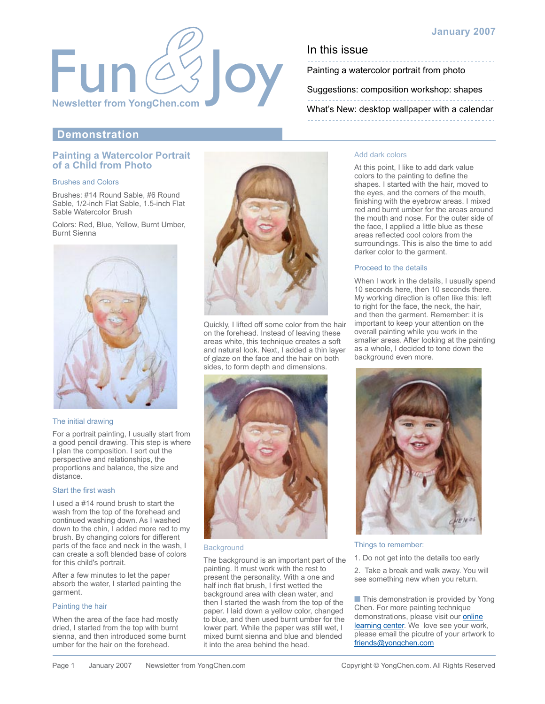

# **January 2007**

Painting a watercolor portrait from photo

[Suggestions: composition workshop: shapes](#page-1-0)

[What's New: desktop wallpaper with a calendar](#page-1-0)

# **Demonstration**

## **Painting a Watercolor Portrait of a Child from Photo**

## Brushes and Colors

Brushes: #14 Round Sable, #6 Round Sable, 1/2-inch Flat Sable, 1.5-inch Flat Sable Watercolor Brush

Colors: Red, Blue, Yellow, Burnt Umber, Burnt Sienna



### The initial drawing

For a portrait painting, I usually start from a good pencil drawing. This step is where I plan the composition. I sort out the perspective and relationships, the proportions and balance, the size and distance.

#### Start the first wash

I used a #14 round brush to start the wash from the top of the forehead and continued washing down. As I washed down to the chin, I added more red to my brush. By changing colors for different parts of the face and neck in the wash, I can create a soft blended base of colors for this child's portrait.

After a few minutes to let the paper absorb the water, I started painting the garment.

### Painting the hair

When the area of the face had mostly dried, I started from the top with burnt sienna, and then introduced some burnt umber for the hair on the forehead.



Quickly, I lifted off some color from the hair on the forehead. Instead of leaving these areas white, this technique creates a soft and natural look. Next, I added a thin layer of glaze on the face and the hair on both sides, to form depth and dimensions.



#### **Background**

The background is an important part of the painting. It must work with the rest to present the personality. With a one and half inch flat brush, I first wetted the background area with clean water, and then I started the wash from the top of the paper. I laid down a yellow color, changed to blue, and then used burnt umber for the lower part. While the paper was still wet, I mixed burnt sienna and blue and blended it into the area behind the head.

#### Add dark colors

At this point, I like to add dark value colors to the painting to define the shapes. I started with the hair, moved to the eyes, and the corners of the mouth, finishing with the eyebrow areas. I mixed red and burnt umber for the areas around the mouth and nose. For the outer side of the face, I applied a little blue as these areas reflected cool colors from the surroundings. This is also the time to add darker color to the garment.

#### Proceed to the details

When I work in the details, I usually spend 10 seconds here, then 10 seconds there. My working direction is often like this: left to right for the face, the neck, the hair, and then the garment. Remember: it is important to keep your attention on the overall painting while you work in the smaller areas. After looking at the painting as a whole, I decided to tone down the background even more.



#### Things to remember:

1. Do not get into the details too early

2. Take a break and walk away. You will see something new when you return.

■ This demonstration is provided by Yong Chen. For more painting technique demonstrations, please visit our **online** [learning center. We love see your work](http://yongchen.com/index_learning.html), please email the picutre of your artwork to [friends@yongchen.com](mailto:friends@yongchen.com)